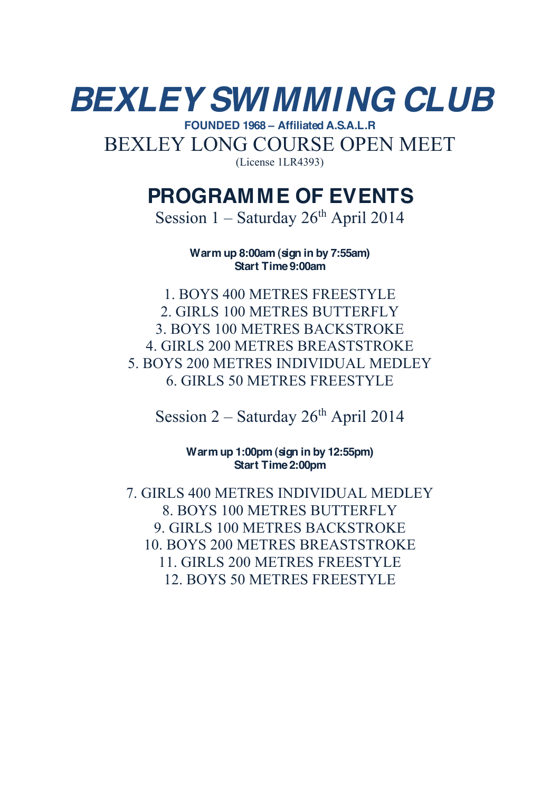## *BEXLEY SWIMMING CLUB* **FOUNDED 1968 ± Affiliated A.S.A.L.R** BEXLEY LONG COURSE OPEN MEET

(License 1LR4393)

## **PROGRAMME OF EVENTS**

Session  $1 -$  Saturday  $26<sup>th</sup>$  April 2014

**Warm up 8:00am (sign in by 7:55am) Start Time 9:00am**

1. BOYS 400 METRES FREESTYLE 2. GIRLS 100 METRES BUTTERFLY 3. BOYS 100 METRES BACKSTROKE 4. GIRLS 200 METRES BREASTSTROKE 5. BOYS 200 METRES INDIVIDUAL MEDLEY 6. GIRLS 50 METRES FREESTYLE

Session  $2 -$  Saturday  $26<sup>th</sup>$  April 2014

**Warm up 1:00pm (sign in by 12:55pm) Start Time 2:00pm**

7. GIRLS 400 METRES INDIVIDUAL MEDLEY 8. BOYS 100 METRES BUTTERFLY 9. GIRLS 100 METRES BACKSTROKE 10. BOYS 200 METRES BREASTSTROKE 11. GIRLS 200 METRES FREESTYLE 12. BOYS 50 METRES FREESTYLE